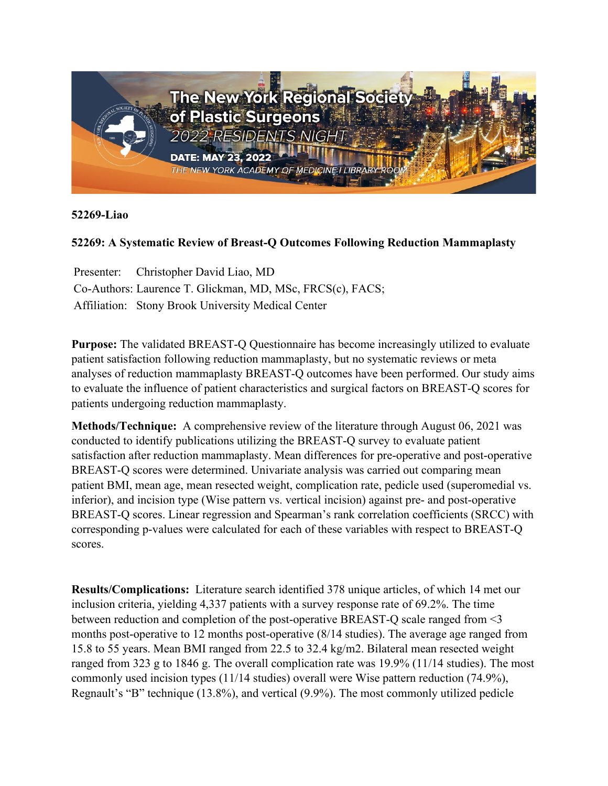

**52269-Liao**

## **52269: A Systematic Review of Breast-Q Outcomes Following Reduction Mammaplasty**

Presenter: Christopher David Liao, MD Co-Authors: Laurence T. Glickman, MD, MSc, FRCS(c), FACS; Affiliation: Stony Brook University Medical Center

**Purpose:** The validated BREAST-Q Questionnaire has become increasingly utilized to evaluate patient satisfaction following reduction mammaplasty, but no systematic reviews or meta analyses of reduction mammaplasty BREAST-Q outcomes have been performed. Our study aims to evaluate the influence of patient characteristics and surgical factors on BREAST-Q scores for patients undergoing reduction mammaplasty.

**Methods/Technique:** A comprehensive review of the literature through August 06, 2021 was conducted to identify publications utilizing the BREAST-Q survey to evaluate patient satisfaction after reduction mammaplasty. Mean differences for pre-operative and post-operative BREAST-Q scores were determined. Univariate analysis was carried out comparing mean patient BMI, mean age, mean resected weight, complication rate, pedicle used (superomedial vs. inferior), and incision type (Wise pattern vs. vertical incision) against pre- and post-operative BREAST-Q scores. Linear regression and Spearman's rank correlation coefficients (SRCC) with corresponding p-values were calculated for each of these variables with respect to BREAST-Q scores.

**Results/Complications:** Literature search identified 378 unique articles, of which 14 met our inclusion criteria, yielding 4,337 patients with a survey response rate of 69.2%. The time between reduction and completion of the post-operative BREAST-Q scale ranged from <3 months post-operative to 12 months post-operative (8/14 studies). The average age ranged from 15.8 to 55 years. Mean BMI ranged from 22.5 to 32.4 kg/m2. Bilateral mean resected weight ranged from 323 g to 1846 g. The overall complication rate was 19.9% (11/14 studies). The most commonly used incision types (11/14 studies) overall were Wise pattern reduction (74.9%), Regnault's "B" technique (13.8%), and vertical (9.9%). The most commonly utilized pedicle